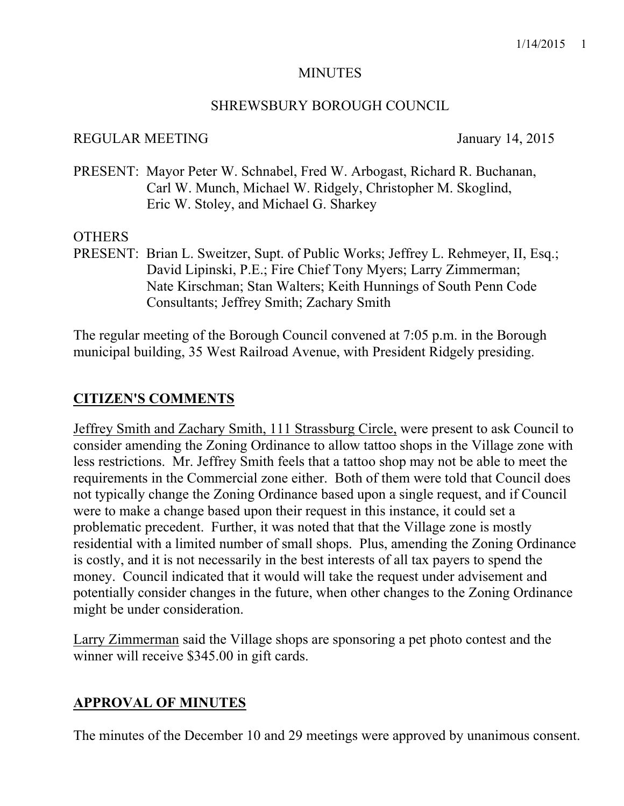#### **MINUTES**

#### SHREWSBURY BOROUGH COUNCIL

#### REGULAR MEETING January 14, 2015

PRESENT: Mayor Peter W. Schnabel, Fred W. Arbogast, Richard R. Buchanan, Carl W. Munch, Michael W. Ridgely, Christopher M. Skoglind, Eric W. Stoley, and Michael G. Sharkey

## OTHERS

PRESENT: Brian L. Sweitzer, Supt. of Public Works; Jeffrey L. Rehmeyer, II, Esq.; David Lipinski, P.E.; Fire Chief Tony Myers; Larry Zimmerman; Nate Kirschman; Stan Walters; Keith Hunnings of South Penn Code Consultants; Jeffrey Smith; Zachary Smith

The regular meeting of the Borough Council convened at 7:05 p.m. in the Borough municipal building, 35 West Railroad Avenue, with President Ridgely presiding.

# **CITIZEN'S COMMENTS**

Jeffrey Smith and Zachary Smith, 111 Strassburg Circle, were present to ask Council to consider amending the Zoning Ordinance to allow tattoo shops in the Village zone with less restrictions. Mr. Jeffrey Smith feels that a tattoo shop may not be able to meet the requirements in the Commercial zone either. Both of them were told that Council does not typically change the Zoning Ordinance based upon a single request, and if Council were to make a change based upon their request in this instance, it could set a problematic precedent. Further, it was noted that that the Village zone is mostly residential with a limited number of small shops. Plus, amending the Zoning Ordinance is costly, and it is not necessarily in the best interests of all tax payers to spend the money. Council indicated that it would will take the request under advisement and potentially consider changes in the future, when other changes to the Zoning Ordinance might be under consideration.

Larry Zimmerman said the Village shops are sponsoring a pet photo contest and the winner will receive \$345.00 in gift cards.

## **APPROVAL OF MINUTES**

The minutes of the December 10 and 29 meetings were approved by unanimous consent.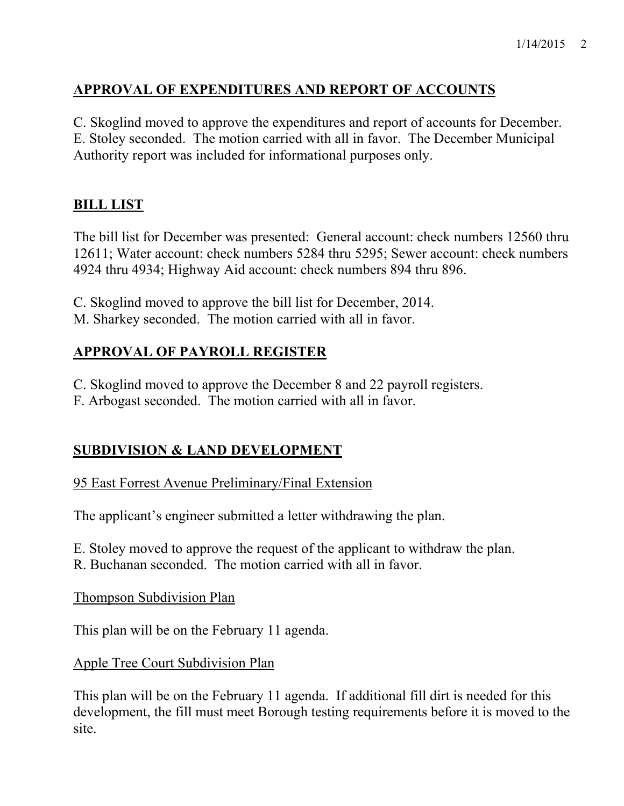# **APPROVAL OF EXPENDITURES AND REPORT OF ACCOUNTS**

C. Skoglind moved to approve the expenditures and report of accounts for December. E. Stoley seconded. The motion carried with all in favor. The December Municipal Authority report was included for informational purposes only.

# **BILL LIST**

The bill list for December was presented: General account: check numbers 12560 thru 12611; Water account: check numbers 5284 thru 5295; Sewer account: check numbers 4924 thru 4934; Highway Aid account: check numbers 894 thru 896.

- C. Skoglind moved to approve the bill list for December, 2014.
- M. Sharkey seconded. The motion carried with all in favor.

# **APPROVAL OF PAYROLL REGISTER**

C. Skoglind moved to approve the December 8 and 22 payroll registers.

F. Arbogast seconded. The motion carried with all in favor.

# **SUBDIVISION & LAND DEVELOPMENT**

## 95 East Forrest Avenue Preliminary/Final Extension

The applicant's engineer submitted a letter withdrawing the plan.

- E. Stoley moved to approve the request of the applicant to withdraw the plan.
- R. Buchanan seconded. The motion carried with all in favor.

Thompson Subdivision Plan

This plan will be on the February 11 agenda.

Apple Tree Court Subdivision Plan

This plan will be on the February 11 agenda. If additional fill dirt is needed for this development, the fill must meet Borough testing requirements before it is moved to the site.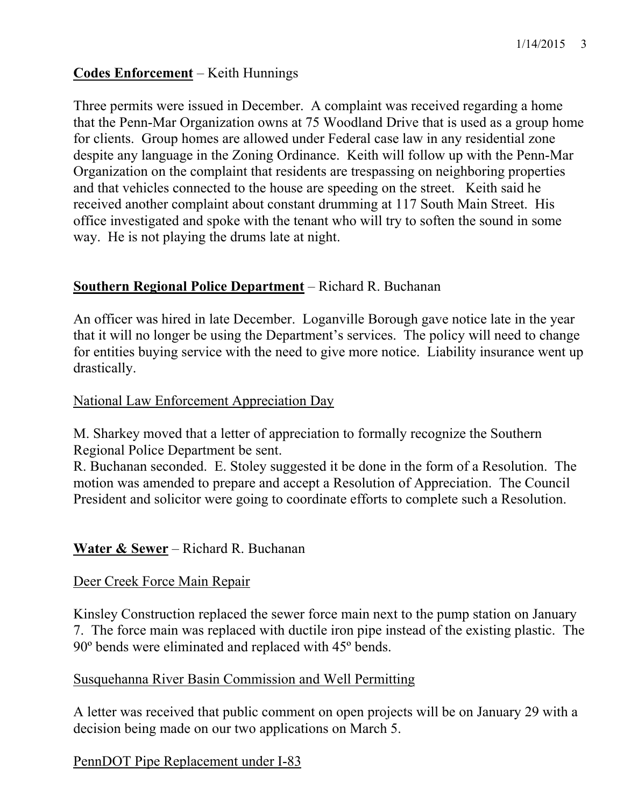## **Codes Enforcement** – Keith Hunnings

Three permits were issued in December. A complaint was received regarding a home that the Penn-Mar Organization owns at 75 Woodland Drive that is used as a group home for clients. Group homes are allowed under Federal case law in any residential zone despite any language in the Zoning Ordinance. Keith will follow up with the Penn-Mar Organization on the complaint that residents are trespassing on neighboring properties and that vehicles connected to the house are speeding on the street. Keith said he received another complaint about constant drumming at 117 South Main Street. His office investigated and spoke with the tenant who will try to soften the sound in some way. He is not playing the drums late at night.

## **Southern Regional Police Department** – Richard R. Buchanan

An officer was hired in late December. Loganville Borough gave notice late in the year that it will no longer be using the Department's services. The policy will need to change for entities buying service with the need to give more notice. Liability insurance went up drastically.

## National Law Enforcement Appreciation Day

M. Sharkey moved that a letter of appreciation to formally recognize the Southern Regional Police Department be sent.

R. Buchanan seconded. E. Stoley suggested it be done in the form of a Resolution. The motion was amended to prepare and accept a Resolution of Appreciation. The Council President and solicitor were going to coordinate efforts to complete such a Resolution.

## **Water & Sewer** – Richard R. Buchanan

## Deer Creek Force Main Repair

Kinsley Construction replaced the sewer force main next to the pump station on January 7. The force main was replaced with ductile iron pipe instead of the existing plastic. The 90º bends were eliminated and replaced with 45º bends.

## Susquehanna River Basin Commission and Well Permitting

A letter was received that public comment on open projects will be on January 29 with a decision being made on our two applications on March 5.

## PennDOT Pipe Replacement under I-83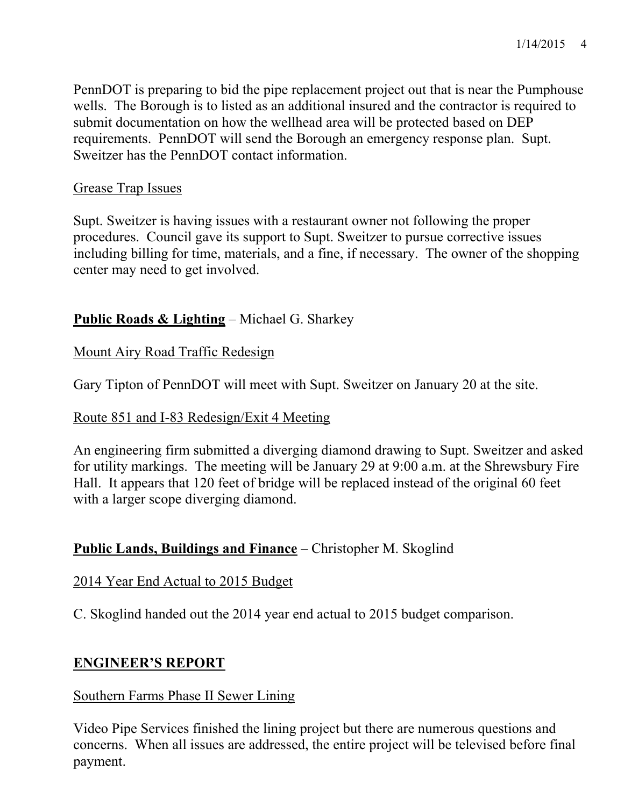PennDOT is preparing to bid the pipe replacement project out that is near the Pumphouse wells. The Borough is to listed as an additional insured and the contractor is required to submit documentation on how the wellhead area will be protected based on DEP requirements. PennDOT will send the Borough an emergency response plan. Supt. Sweitzer has the PennDOT contact information.

## Grease Trap Issues

Supt. Sweitzer is having issues with a restaurant owner not following the proper procedures. Council gave its support to Supt. Sweitzer to pursue corrective issues including billing for time, materials, and a fine, if necessary. The owner of the shopping center may need to get involved.

# **Public Roads & Lighting** – Michael G. Sharkey

Mount Airy Road Traffic Redesign

Gary Tipton of PennDOT will meet with Supt. Sweitzer on January 20 at the site.

## Route 851 and I-83 Redesign/Exit 4 Meeting

An engineering firm submitted a diverging diamond drawing to Supt. Sweitzer and asked for utility markings. The meeting will be January 29 at 9:00 a.m. at the Shrewsbury Fire Hall. It appears that 120 feet of bridge will be replaced instead of the original 60 feet with a larger scope diverging diamond.

## **Public Lands, Buildings and Finance** – Christopher M. Skoglind

## 2014 Year End Actual to 2015 Budget

C. Skoglind handed out the 2014 year end actual to 2015 budget comparison.

## **ENGINEER'S REPORT**

## Southern Farms Phase II Sewer Lining

Video Pipe Services finished the lining project but there are numerous questions and concerns. When all issues are addressed, the entire project will be televised before final payment.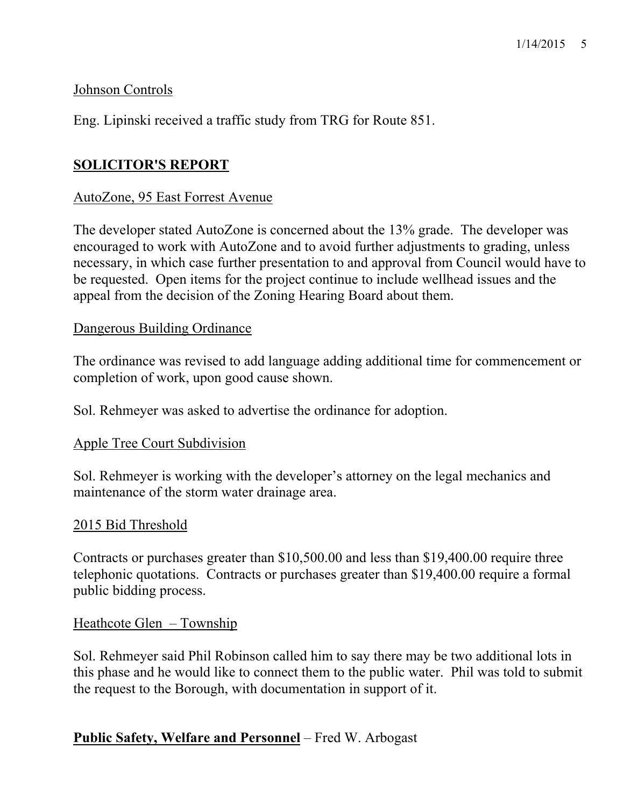## Johnson Controls

Eng. Lipinski received a traffic study from TRG for Route 851.

## **SOLICITOR'S REPORT**

#### AutoZone, 95 East Forrest Avenue

The developer stated AutoZone is concerned about the 13% grade. The developer was encouraged to work with AutoZone and to avoid further adjustments to grading, unless necessary, in which case further presentation to and approval from Council would have to be requested. Open items for the project continue to include wellhead issues and the appeal from the decision of the Zoning Hearing Board about them.

#### Dangerous Building Ordinance

The ordinance was revised to add language adding additional time for commencement or completion of work, upon good cause shown.

Sol. Rehmeyer was asked to advertise the ordinance for adoption.

#### Apple Tree Court Subdivision

Sol. Rehmeyer is working with the developer's attorney on the legal mechanics and maintenance of the storm water drainage area.

#### 2015 Bid Threshold

Contracts or purchases greater than \$10,500.00 and less than \$19,400.00 require three telephonic quotations. Contracts or purchases greater than \$19,400.00 require a formal public bidding process.

## Heathcote Glen – Township

Sol. Rehmeyer said Phil Robinson called him to say there may be two additional lots in this phase and he would like to connect them to the public water. Phil was told to submit the request to the Borough, with documentation in support of it.

## **Public Safety, Welfare and Personnel** – Fred W. Arbogast